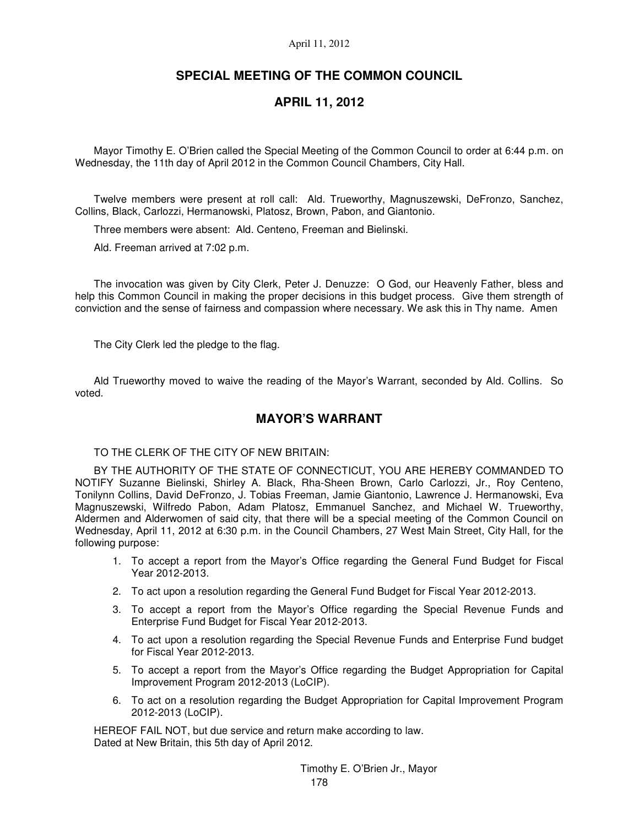# **SPECIAL MEETING OF THE COMMON COUNCIL**

# **APRIL 11, 2012**

Mayor Timothy E. O'Brien called the Special Meeting of the Common Council to order at 6:44 p.m. on Wednesday, the 11th day of April 2012 in the Common Council Chambers, City Hall.

Twelve members were present at roll call: Ald. Trueworthy, Magnuszewski, DeFronzo, Sanchez, Collins, Black, Carlozzi, Hermanowski, Platosz, Brown, Pabon, and Giantonio.

Three members were absent: Ald. Centeno, Freeman and Bielinski.

Ald. Freeman arrived at 7:02 p.m.

The invocation was given by City Clerk, Peter J. Denuzze: O God, our Heavenly Father, bless and help this Common Council in making the proper decisions in this budget process. Give them strength of conviction and the sense of fairness and compassion where necessary. We ask this in Thy name. Amen

The City Clerk led the pledge to the flag.

Ald Trueworthy moved to waive the reading of the Mayor's Warrant, seconded by Ald. Collins. So voted.

# **MAYOR'S WARRANT**

TO THE CLERK OF THE CITY OF NEW BRITAIN:

BY THE AUTHORITY OF THE STATE OF CONNECTICUT, YOU ARE HEREBY COMMANDED TO NOTIFY Suzanne Bielinski, Shirley A. Black, Rha-Sheen Brown, Carlo Carlozzi, Jr., Roy Centeno, Tonilynn Collins, David DeFronzo, J. Tobias Freeman, Jamie Giantonio, Lawrence J. Hermanowski, Eva Magnuszewski, Wilfredo Pabon, Adam Platosz, Emmanuel Sanchez, and Michael W. Trueworthy, Aldermen and Alderwomen of said city, that there will be a special meeting of the Common Council on Wednesday, April 11, 2012 at 6:30 p.m. in the Council Chambers, 27 West Main Street, City Hall, for the following purpose:

- 1. To accept a report from the Mayor's Office regarding the General Fund Budget for Fiscal Year 2012-2013.
- 2. To act upon a resolution regarding the General Fund Budget for Fiscal Year 2012-2013.
- 3. To accept a report from the Mayor's Office regarding the Special Revenue Funds and Enterprise Fund Budget for Fiscal Year 2012-2013.
- 4. To act upon a resolution regarding the Special Revenue Funds and Enterprise Fund budget for Fiscal Year 2012-2013.
- 5. To accept a report from the Mayor's Office regarding the Budget Appropriation for Capital Improvement Program 2012-2013 (LoCIP).
- 6. To act on a resolution regarding the Budget Appropriation for Capital Improvement Program 2012-2013 (LoCIP).

HEREOF FAIL NOT, but due service and return make according to law. Dated at New Britain, this 5th day of April 2012.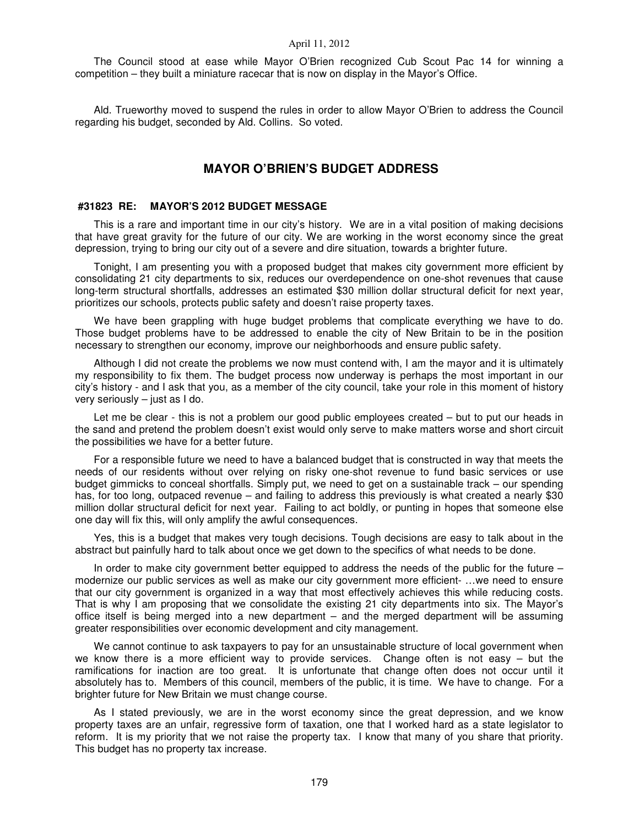The Council stood at ease while Mayor O'Brien recognized Cub Scout Pac 14 for winning a competition – they built a miniature racecar that is now on display in the Mayor's Office.

Ald. Trueworthy moved to suspend the rules in order to allow Mayor O'Brien to address the Council regarding his budget, seconded by Ald. Collins. So voted.

# **MAYOR O'BRIEN'S BUDGET ADDRESS**

### **#31823 RE: MAYOR'S 2012 BUDGET MESSAGE**

This is a rare and important time in our city's history. We are in a vital position of making decisions that have great gravity for the future of our city. We are working in the worst economy since the great depression, trying to bring our city out of a severe and dire situation, towards a brighter future.

Tonight, I am presenting you with a proposed budget that makes city government more efficient by consolidating 21 city departments to six, reduces our overdependence on one-shot revenues that cause long-term structural shortfalls, addresses an estimated \$30 million dollar structural deficit for next year, prioritizes our schools, protects public safety and doesn't raise property taxes.

We have been grappling with huge budget problems that complicate everything we have to do. Those budget problems have to be addressed to enable the city of New Britain to be in the position necessary to strengthen our economy, improve our neighborhoods and ensure public safety.

Although I did not create the problems we now must contend with, I am the mayor and it is ultimately my responsibility to fix them. The budget process now underway is perhaps the most important in our city's history - and I ask that you, as a member of the city council, take your role in this moment of history very seriously – just as I do.

Let me be clear - this is not a problem our good public employees created – but to put our heads in the sand and pretend the problem doesn't exist would only serve to make matters worse and short circuit the possibilities we have for a better future.

For a responsible future we need to have a balanced budget that is constructed in way that meets the needs of our residents without over relying on risky one-shot revenue to fund basic services or use budget gimmicks to conceal shortfalls. Simply put, we need to get on a sustainable track – our spending has, for too long, outpaced revenue – and failing to address this previously is what created a nearly \$30 million dollar structural deficit for next year. Failing to act boldly, or punting in hopes that someone else one day will fix this, will only amplify the awful consequences.

Yes, this is a budget that makes very tough decisions. Tough decisions are easy to talk about in the abstract but painfully hard to talk about once we get down to the specifics of what needs to be done.

In order to make city government better equipped to address the needs of the public for the future modernize our public services as well as make our city government more efficient- ...we need to ensure that our city government is organized in a way that most effectively achieves this while reducing costs. That is why I am proposing that we consolidate the existing 21 city departments into six. The Mayor's office itself is being merged into a new department – and the merged department will be assuming greater responsibilities over economic development and city management.

We cannot continue to ask taxpayers to pay for an unsustainable structure of local government when we know there is a more efficient way to provide services. Change often is not easy – but the ramifications for inaction are too great. It is unfortunate that change often does not occur until it absolutely has to. Members of this council, members of the public, it is time. We have to change. For a brighter future for New Britain we must change course.

As I stated previously, we are in the worst economy since the great depression, and we know property taxes are an unfair, regressive form of taxation, one that I worked hard as a state legislator to reform. It is my priority that we not raise the property tax. I know that many of you share that priority. This budget has no property tax increase.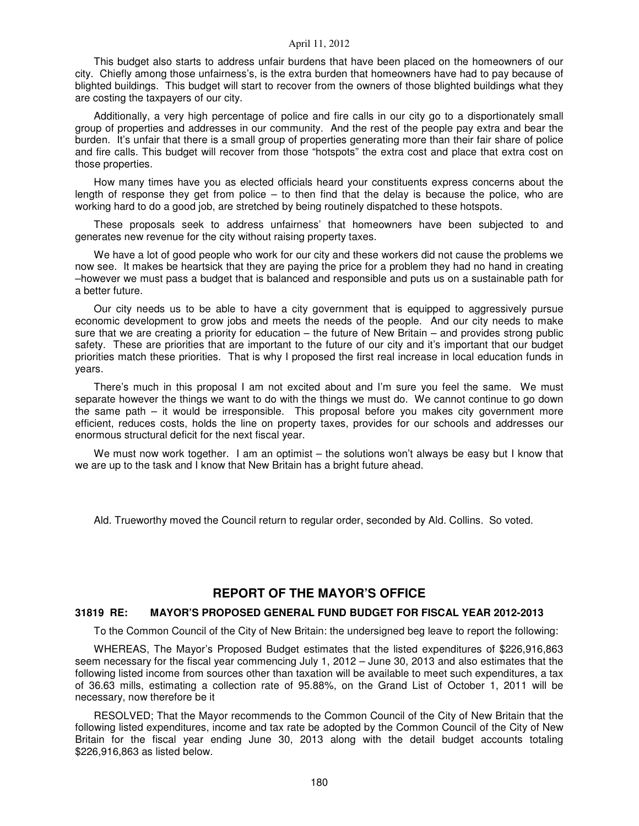This budget also starts to address unfair burdens that have been placed on the homeowners of our city. Chiefly among those unfairness's, is the extra burden that homeowners have had to pay because of blighted buildings. This budget will start to recover from the owners of those blighted buildings what they are costing the taxpayers of our city.

Additionally, a very high percentage of police and fire calls in our city go to a disportionately small group of properties and addresses in our community. And the rest of the people pay extra and bear the burden. It's unfair that there is a small group of properties generating more than their fair share of police and fire calls. This budget will recover from those "hotspots" the extra cost and place that extra cost on those properties.

How many times have you as elected officials heard your constituents express concerns about the length of response they get from police  $-$  to then find that the delay is because the police, who are working hard to do a good job, are stretched by being routinely dispatched to these hotspots.

These proposals seek to address unfairness' that homeowners have been subjected to and generates new revenue for the city without raising property taxes.

We have a lot of good people who work for our city and these workers did not cause the problems we now see. It makes be heartsick that they are paying the price for a problem they had no hand in creating –however we must pass a budget that is balanced and responsible and puts us on a sustainable path for a better future.

Our city needs us to be able to have a city government that is equipped to aggressively pursue economic development to grow jobs and meets the needs of the people. And our city needs to make sure that we are creating a priority for education – the future of New Britain – and provides strong public safety. These are priorities that are important to the future of our city and it's important that our budget priorities match these priorities. That is why I proposed the first real increase in local education funds in years.

There's much in this proposal I am not excited about and I'm sure you feel the same. We must separate however the things we want to do with the things we must do. We cannot continue to go down the same path – it would be irresponsible. This proposal before you makes city government more efficient, reduces costs, holds the line on property taxes, provides for our schools and addresses our enormous structural deficit for the next fiscal year.

We must now work together. I am an optimist – the solutions won't always be easy but I know that we are up to the task and I know that New Britain has a bright future ahead.

Ald. Trueworthy moved the Council return to regular order, seconded by Ald. Collins. So voted.

## **REPORT OF THE MAYOR'S OFFICE**

#### **31819 RE: MAYOR'S PROPOSED GENERAL FUND BUDGET FOR FISCAL YEAR 2012-2013**

To the Common Council of the City of New Britain: the undersigned beg leave to report the following:

WHEREAS, The Mayor's Proposed Budget estimates that the listed expenditures of \$226,916,863 seem necessary for the fiscal year commencing July 1, 2012 – June 30, 2013 and also estimates that the following listed income from sources other than taxation will be available to meet such expenditures, a tax of 36.63 mills, estimating a collection rate of 95.88%, on the Grand List of October 1, 2011 will be necessary, now therefore be it

RESOLVED; That the Mayor recommends to the Common Council of the City of New Britain that the following listed expenditures, income and tax rate be adopted by the Common Council of the City of New Britain for the fiscal year ending June 30, 2013 along with the detail budget accounts totaling \$226,916,863 as listed below.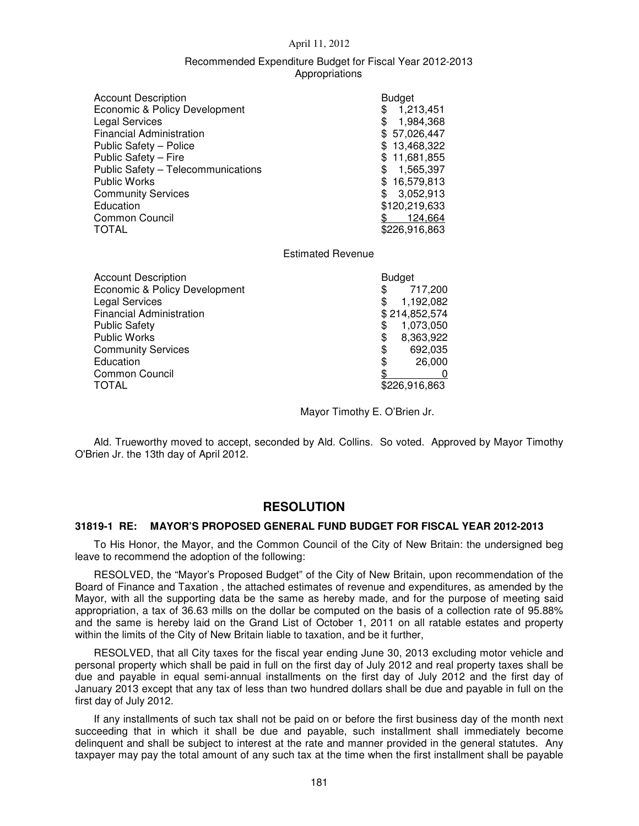### Recommended Expenditure Budget for Fiscal Year 2012-2013 Appropriations

| <b>Account Description</b>         | <b>Budget</b>   |
|------------------------------------|-----------------|
| Economic & Policy Development      | 1,213,451<br>\$ |
| <b>Legal Services</b>              | 1,984,368<br>\$ |
| <b>Financial Administration</b>    | \$57,026,447    |
| Public Safety - Police             | \$13,468,322    |
| Public Safety - Fire               | \$11,681,855    |
| Public Safety - Telecommunications | 1,565,397<br>\$ |
| <b>Public Works</b>                | \$16,579,813    |
| <b>Community Services</b>          | 3,052,913       |
| Education                          | \$120,219,633   |
| Common Council                     | 124,664         |
| <b>TOTAL</b>                       | \$226,916,863   |

### Estimated Revenue

| <b>Account Description</b>      | <b>Budget</b> |               |
|---------------------------------|---------------|---------------|
| Economic & Policy Development   | \$            | 717,200       |
| <b>Legal Services</b>           |               | 1,192,082     |
| <b>Financial Administration</b> |               | \$214,852,574 |
| <b>Public Safety</b>            |               | 1,073,050     |
| <b>Public Works</b>             | S             | 8,363,922     |
| <b>Community Services</b>       | \$            | 692,035       |
| Education                       | \$            | 26,000        |
| <b>Common Council</b>           |               |               |
| <b>TOTAL</b>                    |               | \$226,916,863 |

Mayor Timothy E. O'Brien Jr.

Ald. Trueworthy moved to accept, seconded by Ald. Collins. So voted. Approved by Mayor Timothy O'Brien Jr. the 13th day of April 2012.

# **RESOLUTION**

### **31819-1 RE: MAYOR'S PROPOSED GENERAL FUND BUDGET FOR FISCAL YEAR 2012-2013**

To His Honor, the Mayor, and the Common Council of the City of New Britain: the undersigned beg leave to recommend the adoption of the following:

RESOLVED, the "Mayor's Proposed Budget" of the City of New Britain, upon recommendation of the Board of Finance and Taxation , the attached estimates of revenue and expenditures, as amended by the Mayor, with all the supporting data be the same as hereby made, and for the purpose of meeting said appropriation, a tax of 36.63 mills on the dollar be computed on the basis of a collection rate of 95.88% and the same is hereby laid on the Grand List of October 1, 2011 on all ratable estates and property within the limits of the City of New Britain liable to taxation, and be it further,

RESOLVED, that all City taxes for the fiscal year ending June 30, 2013 excluding motor vehicle and personal property which shall be paid in full on the first day of July 2012 and real property taxes shall be due and payable in equal semi-annual installments on the first day of July 2012 and the first day of January 2013 except that any tax of less than two hundred dollars shall be due and payable in full on the first day of July 2012.

If any installments of such tax shall not be paid on or before the first business day of the month next succeeding that in which it shall be due and payable, such installment shall immediately become delinquent and shall be subject to interest at the rate and manner provided in the general statutes. Any taxpayer may pay the total amount of any such tax at the time when the first installment shall be payable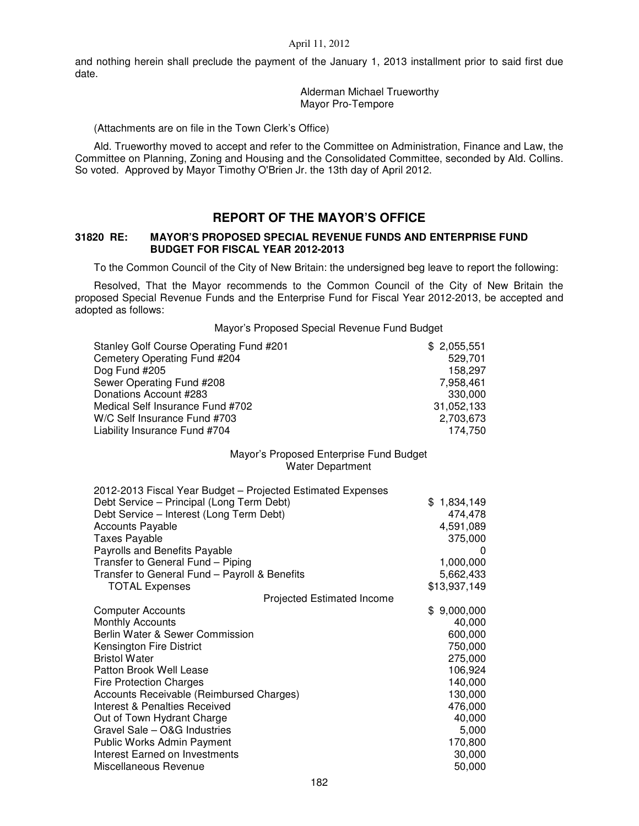and nothing herein shall preclude the payment of the January 1, 2013 installment prior to said first due date.

> Alderman Michael Trueworthy Mayor Pro-Tempore

(Attachments are on file in the Town Clerk's Office)

Ald. Trueworthy moved to accept and refer to the Committee on Administration, Finance and Law, the Committee on Planning, Zoning and Housing and the Consolidated Committee, seconded by Ald. Collins. So voted. Approved by Mayor Timothy O'Brien Jr. the 13th day of April 2012.

## **REPORT OF THE MAYOR'S OFFICE**

## **31820 RE: MAYOR'S PROPOSED SPECIAL REVENUE FUNDS AND ENTERPRISE FUND BUDGET FOR FISCAL YEAR 2012-2013**

To the Common Council of the City of New Britain: the undersigned beg leave to report the following:

Resolved, That the Mayor recommends to the Common Council of the City of New Britain the proposed Special Revenue Funds and the Enterprise Fund for Fiscal Year 2012-2013, be accepted and adopted as follows:

Mayor's Proposed Special Revenue Fund Budget

| Stanley Golf Course Operating Fund #201 | \$2,055,551 |
|-----------------------------------------|-------------|
| Cemetery Operating Fund #204            | 529.701     |
| Dog Fund #205                           | 158.297     |
| Sewer Operating Fund #208               | 7.958.461   |
| Donations Account #283                  | 330,000     |
| Medical Self Insurance Fund #702        | 31,052,133  |
| W/C Self Insurance Fund #703            | 2.703.673   |
| Liability Insurance Fund #704           | 174.750     |

### Mayor's Proposed Enterprise Fund Budget Water Department

| 2012-2013 Fiscal Year Budget - Projected Estimated Expenses |                  |
|-------------------------------------------------------------|------------------|
| Debt Service - Principal (Long Term Debt)                   | 1,834,149<br>\$. |
| Debt Service - Interest (Long Term Debt)                    | 474,478          |
| Accounts Payable                                            | 4,591,089        |
| Taxes Payable                                               | 375,000          |
| Payrolls and Benefits Payable                               | $\Omega$         |
| Transfer to General Fund - Piping                           | 1,000,000        |
| Transfer to General Fund - Payroll & Benefits               | 5,662,433        |
| <b>TOTAL Expenses</b>                                       | \$13,937,149     |
| <b>Projected Estimated Income</b>                           |                  |
| <b>Computer Accounts</b>                                    | 9,000,000<br>\$  |
| <b>Monthly Accounts</b>                                     | 40,000           |
| Berlin Water & Sewer Commission                             | 600,000          |
| Kensington Fire District                                    | 750,000          |
| <b>Bristol Water</b>                                        | 275,000          |
| Patton Brook Well Lease                                     | 106,924          |
| <b>Fire Protection Charges</b>                              | 140,000          |
| Accounts Receivable (Reimbursed Charges)                    | 130,000          |
| <b>Interest &amp; Penalties Received</b>                    | 476,000          |
| Out of Town Hydrant Charge                                  | 40,000           |
| Gravel Sale - O&G Industries                                | 5,000            |
| <b>Public Works Admin Payment</b>                           | 170,800          |
| Interest Earned on Investments                              | 30,000           |
| Miscellaneous Revenue                                       | 50,000           |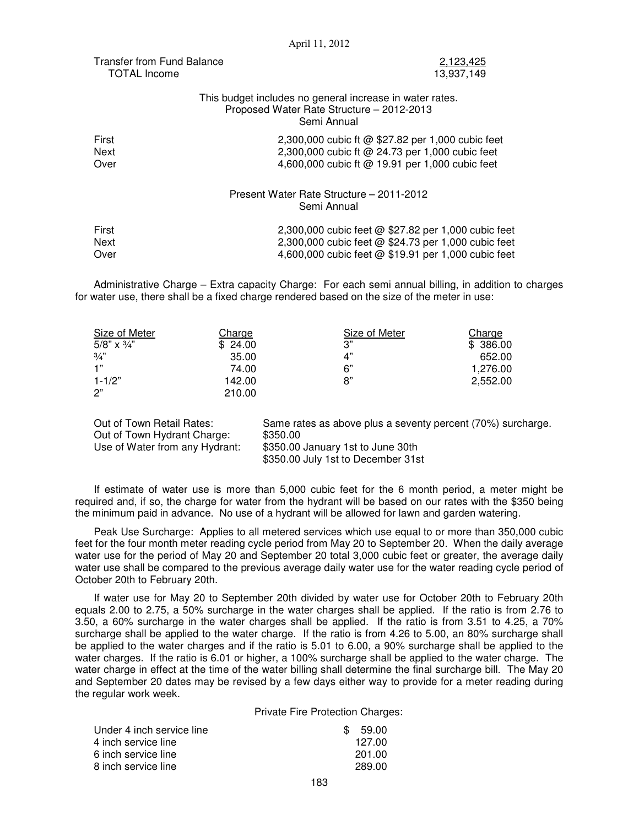| Transfer from Fund Balance |  |
|----------------------------|--|
| TOTAL Income               |  |

2,123,425 13,937,149

## This budget includes no general increase in water rates. Proposed Water Rate Structure – 2012-2013 Semi Annual

| First<br>Next<br>Over | 2,300,000 cubic ft @ \$27.82 per 1,000 cubic feet<br>2,300,000 cubic ft @ 24.73 per 1,000 cubic feet<br>4,600,000 cubic ft @ 19.91 per 1,000 cubic feet |
|-----------------------|---------------------------------------------------------------------------------------------------------------------------------------------------------|
|                       | Present Water Rate Structure - 2011-2012<br>Semi Annual                                                                                                 |
| First                 | 2,300,000 cubic feet @ \$27.82 per 1,000 cubic feet                                                                                                     |
| Next                  | 2,300,000 cubic feet @ \$24.73 per 1,000 cubic feet                                                                                                     |
| Over                  | 4,600,000 cubic feet @ \$19.91 per 1,000 cubic feet                                                                                                     |

Administrative Charge – Extra capacity Charge: For each semi annual billing, in addition to charges for water use, there shall be a fixed charge rendered based on the size of the meter in use:

| Size of Meter      | Charge  | Size of Meter | Charge   |
|--------------------|---------|---------------|----------|
| 5/8" $\times$ 3/4" | \$24.00 | 3"            | \$386.00 |
| $\frac{3}{4}$      | 35.00   | 4"            | 652.00   |
| 1"                 | 74.00   | 6"            | 1,276.00 |
| $1 - 1/2"$         | 142.00  | 8"            | 2.552.00 |
| 2"                 | 210.00  |               |          |

| Out of Town Retail Rates:      | Same rates as above plus a seventy percent (70%) surcharge. |
|--------------------------------|-------------------------------------------------------------|
| Out of Town Hydrant Charge:    | \$350.00                                                    |
| Use of Water from any Hydrant: | \$350.00 January 1st to June 30th                           |
|                                | \$350.00 July 1st to December 31st                          |

If estimate of water use is more than 5,000 cubic feet for the 6 month period, a meter might be required and, if so, the charge for water from the hydrant will be based on our rates with the \$350 being the minimum paid in advance. No use of a hydrant will be allowed for lawn and garden watering.

Peak Use Surcharge: Applies to all metered services which use equal to or more than 350,000 cubic feet for the four month meter reading cycle period from May 20 to September 20. When the daily average water use for the period of May 20 and September 20 total 3,000 cubic feet or greater, the average daily water use shall be compared to the previous average daily water use for the water reading cycle period of October 20th to February 20th.

If water use for May 20 to September 20th divided by water use for October 20th to February 20th equals 2.00 to 2.75, a 50% surcharge in the water charges shall be applied. If the ratio is from 2.76 to 3.50, a 60% surcharge in the water charges shall be applied. If the ratio is from 3.51 to 4.25, a 70% surcharge shall be applied to the water charge. If the ratio is from 4.26 to 5.00, an 80% surcharge shall be applied to the water charges and if the ratio is 5.01 to 6.00, a 90% surcharge shall be applied to the water charges. If the ratio is 6.01 or higher, a 100% surcharge shall be applied to the water charge. The water charge in effect at the time of the water billing shall determine the final surcharge bill. The May 20 and September 20 dates may be revised by a few days either way to provide for a meter reading during the regular work week.

Private Fire Protection Charges:

| Under 4 inch service line | \$. | 59.00  |
|---------------------------|-----|--------|
| 4 inch service line       |     | 127.00 |
| 6 inch service line       |     | 201.00 |
| 8 inch service line       |     | 289.00 |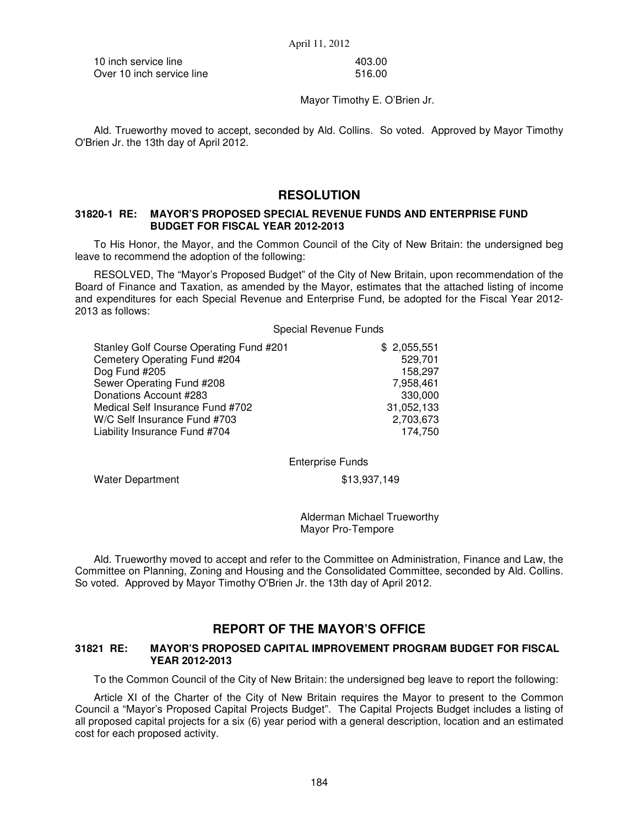10 inch service line 403.00 Over 10 inch service line 516.00

Mayor Timothy E. O'Brien Jr.

Ald. Trueworthy moved to accept, seconded by Ald. Collins. So voted. Approved by Mayor Timothy O'Brien Jr. the 13th day of April 2012.

# **RESOLUTION**

## **31820-1 RE: MAYOR'S PROPOSED SPECIAL REVENUE FUNDS AND ENTERPRISE FUND BUDGET FOR FISCAL YEAR 2012-2013**

To His Honor, the Mayor, and the Common Council of the City of New Britain: the undersigned beg leave to recommend the adoption of the following:

RESOLVED, The "Mayor's Proposed Budget" of the City of New Britain, upon recommendation of the Board of Finance and Taxation, as amended by the Mayor, estimates that the attached listing of income and expenditures for each Special Revenue and Enterprise Fund, be adopted for the Fiscal Year 2012- 2013 as follows:

### Special Revenue Funds

| Stanley Golf Course Operating Fund #201 | \$2,055,551 |
|-----------------------------------------|-------------|
| Cemetery Operating Fund #204            | 529,701     |
| Dog Fund #205                           | 158.297     |
| Sewer Operating Fund #208               | 7,958,461   |
| Donations Account #283                  | 330,000     |
| Medical Self Insurance Fund #702        | 31,052,133  |
| W/C Self Insurance Fund #703            | 2,703,673   |
| Liability Insurance Fund #704           | 174.750     |

Enterprise Funds

Water Department \$13,937,149

Alderman Michael Trueworthy Mayor Pro-Tempore

Ald. Trueworthy moved to accept and refer to the Committee on Administration, Finance and Law, the Committee on Planning, Zoning and Housing and the Consolidated Committee, seconded by Ald. Collins. So voted. Approved by Mayor Timothy O'Brien Jr. the 13th day of April 2012.

# **REPORT OF THE MAYOR'S OFFICE**

### **31821 RE: MAYOR'S PROPOSED CAPITAL IMPROVEMENT PROGRAM BUDGET FOR FISCAL YEAR 2012-2013**

To the Common Council of the City of New Britain: the undersigned beg leave to report the following:

Article XI of the Charter of the City of New Britain requires the Mayor to present to the Common Council a "Mayor's Proposed Capital Projects Budget". The Capital Projects Budget includes a listing of all proposed capital projects for a six (6) year period with a general description, location and an estimated cost for each proposed activity.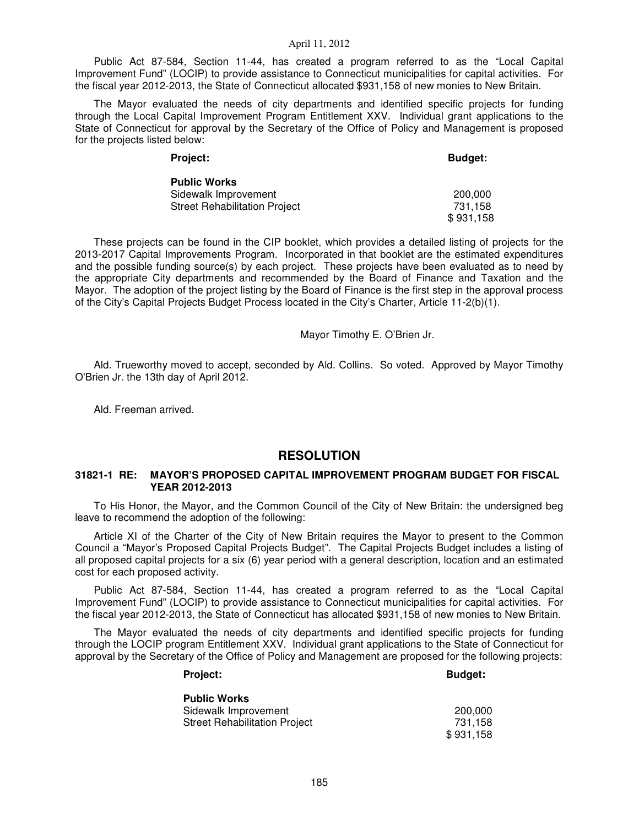Public Act 87-584, Section 11-44, has created a program referred to as the "Local Capital Improvement Fund" (LOCIP) to provide assistance to Connecticut municipalities for capital activities. For the fiscal year 2012-2013, the State of Connecticut allocated \$931,158 of new monies to New Britain.

The Mayor evaluated the needs of city departments and identified specific projects for funding through the Local Capital Improvement Program Entitlement XXV. Individual grant applications to the State of Connecticut for approval by the Secretary of the Office of Policy and Management is proposed for the projects listed below:

| Project:                             | <b>Budget:</b> |
|--------------------------------------|----------------|
| <b>Public Works</b>                  |                |
| Sidewalk Improvement                 | 200,000        |
| <b>Street Rehabilitation Project</b> | 731.158        |
|                                      | \$931,158      |

These projects can be found in the CIP booklet, which provides a detailed listing of projects for the 2013-2017 Capital Improvements Program. Incorporated in that booklet are the estimated expenditures and the possible funding source(s) by each project. These projects have been evaluated as to need by the appropriate City departments and recommended by the Board of Finance and Taxation and the Mayor. The adoption of the project listing by the Board of Finance is the first step in the approval process of the City's Capital Projects Budget Process located in the City's Charter, Article 11-2(b)(1).

#### Mayor Timothy E. O'Brien Jr.

Ald. Trueworthy moved to accept, seconded by Ald. Collins. So voted. Approved by Mayor Timothy O'Brien Jr. the 13th day of April 2012.

Ald. Freeman arrived.

## **RESOLUTION**

### **31821-1 RE: MAYOR'S PROPOSED CAPITAL IMPROVEMENT PROGRAM BUDGET FOR FISCAL YEAR 2012-2013**

To His Honor, the Mayor, and the Common Council of the City of New Britain: the undersigned beg leave to recommend the adoption of the following:

Article XI of the Charter of the City of New Britain requires the Mayor to present to the Common Council a "Mayor's Proposed Capital Projects Budget". The Capital Projects Budget includes a listing of all proposed capital projects for a six (6) year period with a general description, location and an estimated cost for each proposed activity.

Public Act 87-584, Section 11-44, has created a program referred to as the "Local Capital Improvement Fund" (LOCIP) to provide assistance to Connecticut municipalities for capital activities. For the fiscal year 2012-2013, the State of Connecticut has allocated \$931,158 of new monies to New Britain.

The Mayor evaluated the needs of city departments and identified specific projects for funding through the LOCIP program Entitlement XXV. Individual grant applications to the State of Connecticut for approval by the Secretary of the Office of Policy and Management are proposed for the following projects:

## Project: Budget:

| Public Works                  |           |
|-------------------------------|-----------|
| Sidewalk Improvement          | 200.000   |
| Street Rehabilitation Project | 731.158   |
|                               | \$931,158 |